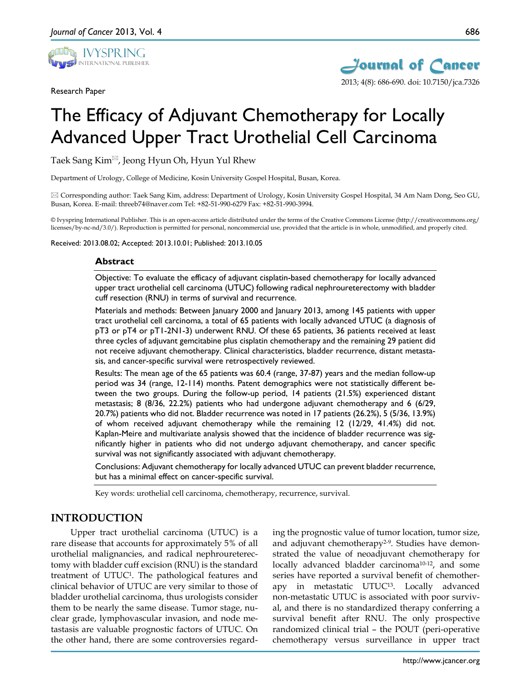

Research Paper



2013; 4(8): 686-690. doi: 10.7150/jca.7326

# The Efficacy of Adjuvant Chemotherapy for Locally Advanced Upper Tract Urothelial Cell Carcinoma

Taek Sang Kim $^{\boxtimes}$ , Jeong Hyun Oh, Hyun Yul Rhew

Department of Urology, College of Medicine, Kosin University Gospel Hospital, Busan, Korea.

 Corresponding author: Taek Sang Kim, address: Department of Urology, Kosin University Gospel Hospital, 34 Am Nam Dong, Seo GU, Busan, Korea. E-mail: threeb74@naver.com Tel: +82-51-990-6279 Fax: +82-51-990-3994.

© Ivyspring International Publisher. This is an open-access article distributed under the terms of the Creative Commons License (http://creativecommons.org/ licenses/by-nc-nd/3.0/). Reproduction is permitted for personal, noncommercial use, provided that the article is in whole, unmodified, and properly cited.

Received: 2013.08.02; Accepted: 2013.10.01; Published: 2013.10.05

## **Abstract**

Objective: To evaluate the efficacy of adjuvant cisplatin-based chemotherapy for locally advanced upper tract urothelial cell carcinoma (UTUC) following radical nephroureterectomy with bladder cuff resection (RNU) in terms of survival and recurrence.

Materials and methods: Between January 2000 and January 2013, among 145 patients with upper tract urothelial cell carcinoma, a total of 65 patients with locally advanced UTUC (a diagnosis of pT3 or pT4 or pT1-2N1-3) underwent RNU. Of these 65 patients, 36 patients received at least three cycles of adjuvant gemcitabine plus cisplatin chemotherapy and the remaining 29 patient did not receive adjuvant chemotherapy. Clinical characteristics, bladder recurrence, distant metastasis, and cancer-specific survival were retrospectively reviewed.

Results: The mean age of the 65 patients was 60.4 (range, 37-87) years and the median follow-up period was 34 (range, 12-114) months. Patent demographics were not statistically different between the two groups. During the follow-up period, 14 patients (21.5%) experienced distant metastasis; 8 (8/36, 22.2%) patients who had undergone adjuvant chemotherapy and 6 (6/29, 20.7%) patients who did not. Bladder recurrence was noted in 17 patients (26.2%), 5 (5/36, 13.9%) of whom received adjuvant chemotherapy while the remaining 12 (12/29, 41.4%) did not. Kaplan-Meire and multivariate analysis showed that the incidence of bladder recurrence was significantly higher in patients who did not undergo adjuvant chemotherapy, and cancer specific survival was not significantly associated with adjuvant chemotherapy.

Conclusions: Adjuvant chemotherapy for locally advanced UTUC can prevent bladder recurrence, but has a minimal effect on cancer-specific survival.

Key words: urothelial cell carcinoma, chemotherapy, recurrence, survival.

# **INTRODUCTION**

Upper tract urothelial carcinoma (UTUC) is a rare disease that accounts for approximately 5% of all urothelial malignancies, and radical nephroureterectomy with bladder cuff excision (RNU) is the standard treatment of UTUC1. The pathological features and clinical behavior of UTUC are very similar to those of bladder urothelial carcinoma, thus urologists consider them to be nearly the same disease. Tumor stage, nuclear grade, lymphovascular invasion, and node metastasis are valuable prognostic factors of UTUC. On the other hand, there are some controversies regarding the prognostic value of tumor location, tumor size, and adjuvant chemotherapy<sup>2-9</sup>. Studies have demonstrated the value of neoadjuvant chemotherapy for locally advanced bladder carcinoma<sup>10-12</sup>, and some series have reported a survival benefit of chemotherapy in metastatic UTUC13. Locally advanced non-metastatic UTUC is associated with poor survival, and there is no standardized therapy conferring a survival benefit after RNU. The only prospective randomized clinical trial – the POUT (peri-operative chemotherapy versus surveillance in upper tract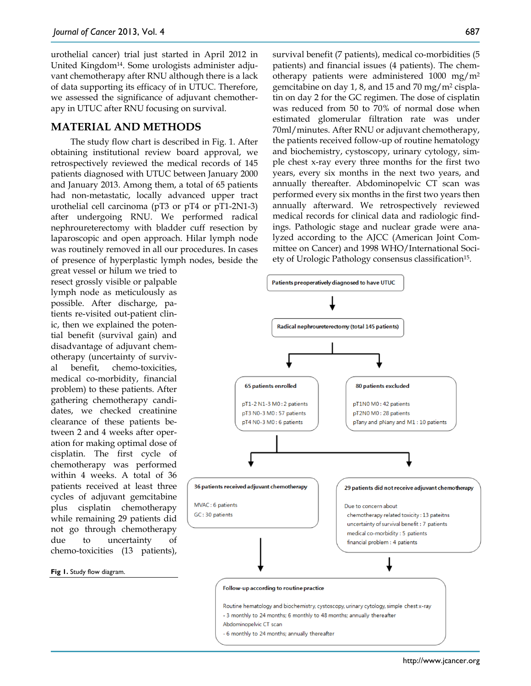urothelial cancer) trial just started in April 2012 in United Kingdom14. Some urologists administer adjuvant chemotherapy after RNU although there is a lack of data supporting its efficacy of in UTUC. Therefore, we assessed the significance of adjuvant chemotherapy in UTUC after RNU focusing on survival.

## **MATERIAL AND METHODS**

The study flow chart is described in Fig. 1. After obtaining institutional review board approval, we retrospectively reviewed the medical records of 145 patients diagnosed with UTUC between January 2000 and January 2013. Among them, a total of 65 patients had non-metastatic, locally advanced upper tract urothelial cell carcinoma (pT3 or pT4 or pT1-2N1-3) after undergoing RNU. We performed radical nephroureterectomy with bladder cuff resection by laparoscopic and open approach. Hilar lymph node was routinely removed in all our procedures. In cases of presence of hyperplastic lymph nodes, beside the

great vessel or hilum we tried to resect grossly visible or palpable lymph node as meticulously as possible. After discharge, patients re-visited out-patient clinic, then we explained the potential benefit (survival gain) and disadvantage of adjuvant chemotherapy (uncertainty of survival benefit, chemo-toxicities, medical co-morbidity, financial problem) to these patients. After gathering chemotherapy candidates, we checked creatinine clearance of these patients between 2 and 4 weeks after operation for making optimal dose of cisplatin. The first cycle of chemotherapy was performed within 4 weeks. A total of 36 patients received at least three cycles of adjuvant gemcitabine plus cisplatin chemotherapy while remaining 29 patients did not go through chemotherapy due to uncertainty of chemo-toxicities (13 patients),

#### **Fig 1.** Study flow diagram.

survival benefit (7 patients), medical co-morbidities (5 patients) and financial issues (4 patients). The chemotherapy patients were administered 1000 mg/m2 gemcitabine on day 1, 8, and 15 and 70 mg/m2 cisplatin on day 2 for the GC regimen. The dose of cisplatin was reduced from 50 to 70% of normal dose when estimated glomerular filtration rate was under 70ml/minutes. After RNU or adjuvant chemotherapy, the patients received follow-up of routine hematology and biochemistry, cystoscopy, urinary cytology, simple chest x-ray every three months for the first two years, every six months in the next two years, and annually thereafter. Abdominopelvic CT scan was performed every six months in the first two years then annually afterward. We retrospectively reviewed medical records for clinical data and radiologic findings. Pathologic stage and nuclear grade were analyzed according to the AJCC (American Joint Committee on Cancer) and 1998 WHO/International Society of Urologic Pathology consensus classification<sup>15</sup>.

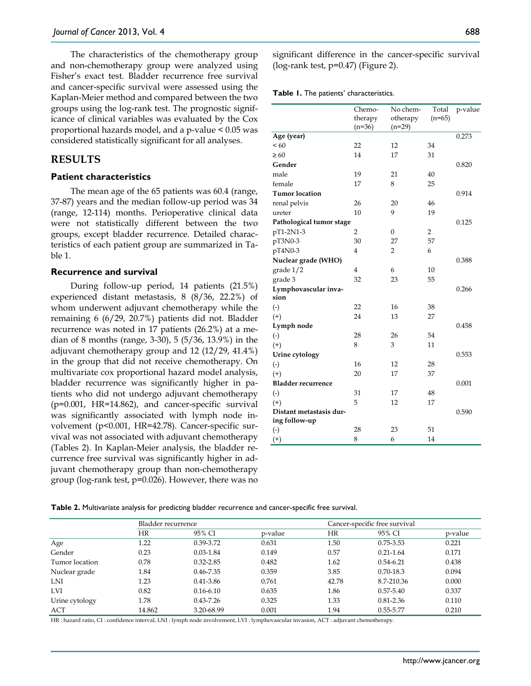The characteristics of the chemotherapy group and non-chemotherapy group were analyzed using Fisher's exact test. Bladder recurrence free survival and cancer-specific survival were assessed using the Kaplan-Meier method and compared between the two groups using the log-rank test. The prognostic significance of clinical variables was evaluated by the Cox proportional hazards model, and a p-value < 0.05 was considered statistically significant for all analyses.

## **RESULTS**

## **Patient characteristics**

The mean age of the 65 patients was 60.4 (range, 37-87) years and the median follow-up period was 34 (range, 12-114) months. Perioperative clinical data were not statistically different between the two groups, except bladder recurrence. Detailed characteristics of each patient group are summarized in Table 1.

#### **Recurrence and survival**

During follow-up period, 14 patients (21.5%) experienced distant metastasis, 8 (8/36, 22.2%) of whom underwent adjuvant chemotherapy while the remaining 6 (6/29, 20.7%) patients did not. Bladder recurrence was noted in 17 patients (26.2%) at a median of 8 months (range, 3-30), 5 (5/36, 13.9%) in the adjuvant chemotherapy group and 12 (12/29, 41.4%) in the group that did not receive chemotherapy. On multivariate cox proportional hazard model analysis, bladder recurrence was significantly higher in patients who did not undergo adjuvant chemotherapy (p=0.001, HR=14.862), and cancer-specific survival was significantly associated with lymph node involvement (p<0.001, HR=42.78). Cancer-specific survival was not associated with adjuvant chemotherapy (Tables 2). In Kaplan-Meier analysis, the bladder recurrence free survival was significantly higher in adjuvant chemotherapy group than non-chemotherapy group (log-rank test, p=0.026). However, there was no significant difference in the cancer-specific survival (log-rank test,  $p=0.47$ ) (Figure 2).

**Table 1.** The patients' characteristics.

|                           | Chemo-              | No chem-             | Total          | p-value |
|---------------------------|---------------------|----------------------|----------------|---------|
|                           | therapy<br>$(n=36)$ | otherapy<br>$(n=29)$ | $(n=65)$       |         |
| Age (year)                |                     |                      |                | 0.273   |
| < 60                      | 22                  | 12                   | 34             |         |
| $\geq 60$                 | 14                  | 17                   | 31             |         |
| Gender                    |                     |                      |                | 0.820   |
| male                      | 19                  | 21                   | 40             |         |
| female                    | 17                  | 8                    | 25             |         |
| <b>Tumor location</b>     |                     |                      |                | 0.914   |
| renal pelvis              | 26                  | 20                   | 46             |         |
| ureter                    | 10                  | 9                    | 19             |         |
| Pathological tumor stage  |                     |                      |                | 0.125   |
| pT1-2N1-3                 | $\overline{2}$      | $\boldsymbol{0}$     | $\overline{2}$ |         |
| pT3N0-3                   | 30                  | 27                   | 57             |         |
| pT4N0-3                   | 4                   | $\overline{2}$       | 6              |         |
| Nuclear grade (WHO)       |                     |                      |                | 0.388   |
| grade 1/2                 | 4                   | 6                    | 10             |         |
| grade 3                   | 32                  | 23                   | 55             |         |
| Lymphovascular inva-      |                     |                      |                | 0.266   |
| sion                      |                     |                      |                |         |
| $(\text{-})$              | 22                  | 16                   | 38             |         |
| $^{(+)}$                  | 24                  | 13                   | 27             |         |
| Lymph node                |                     |                      |                | 0.458   |
| $(\cdot)$                 | 28                  | 26                   | 54             |         |
| $^{(+)}$                  | 8                   | 3                    | 11             |         |
| Urine cytology            |                     |                      |                | 0.553   |
| $(\text{-})$              | 16                  | 12                   | 28             |         |
| $^{(+)}$                  | 20                  | 17                   | 37             |         |
| <b>Bladder recurrence</b> |                     |                      |                | 0.001   |
| $(\text{-})$              | 31                  | 17                   | 48             |         |
| $^{(+)}$                  | 5                   | 12                   | 17             |         |
| Distant metastasis dur-   |                     |                      |                | 0.590   |
| ing follow-up             |                     |                      |                |         |
| $(\text{-})$              | 28                  | 23                   | 51             |         |
| $^{(+)}$                  | 8                   | 6                    | 14             |         |

**Table 2.** Multivariate analysis for predicting bladder recurrence and cancer-specific free survival.

|                |           | Bladder recurrence |         |       | Cancer-specific free survival |         |
|----------------|-----------|--------------------|---------|-------|-------------------------------|---------|
|                | <b>HR</b> | 95% CI             | p-value | HR    | 95% CI                        | p-value |
| Age            | 1.22      | 0.39-3.72          | 0.631   | 1.50  | $0.75 - 3.53$                 | 0.221   |
| Gender         | 0.23      | $0.03 - 1.84$      | 0.149   | 0.57  | $0.21 - 1.64$                 | 0.171   |
| Tumor location | 0.78      | $0.32 - 2.85$      | 0.482   | 1.62  | $0.54 - 6.21$                 | 0.438   |
| Nuclear grade  | 1.84      | $0.46 - 7.35$      | 0.359   | 3.85  | 0.70-18.3                     | 0.094   |
| LNI            | 1.23      | 0.41-3.86          | 0.761   | 42.78 | 8.7-210.36                    | 0.000   |
| <b>LVI</b>     | 0.82      | $0.16 - 6.10$      | 0.635   | 1.86  | $0.57 - 5.40$                 | 0.337   |
| Urine cytology | 1.78      | $0.43 - 7.26$      | 0.325   | 1.33  | $0.81 - 2.36$                 | 0.110   |
| ACT            | 14.862    | 3.20-68.99         | 0.001   | 1.94  | 0.55-5.77                     | 0.210   |

HR : hazard ratio, CI : confidence interval, LNI : lymph node involvement, LVI : lymphovascular invasion, ACT : adjuvant chemotherapy.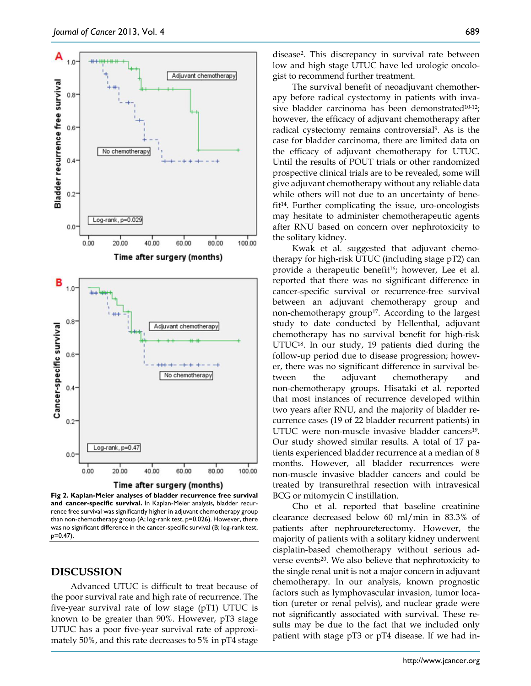

**Fig 2. Kaplan-Meier analyses of bladder recurrence free survival and cancer-specific survival.** In Kaplan-Meier analysis, bladder recurrence free survival was significantly higher in adjuvant chemotherapy group than non-chemotherapy group (A; log-rank test, p=0.026). However, there was no significant difference in the cancer-specific survival (B; log-rank test, p=0.47).

## **DISCUSSION**

Advanced UTUC is difficult to treat because of the poor survival rate and high rate of recurrence. The five-year survival rate of low stage (pT1) UTUC is known to be greater than 90%. However, pT3 stage UTUC has a poor five-year survival rate of approximately 50%, and this rate decreases to 5% in pT4 stage

The survival benefit of neoadjuvant chemotherapy before radical cystectomy in patients with invasive bladder carcinoma has been demonstrated $10-12$ ; however, the efficacy of adjuvant chemotherapy after radical cystectomy remains controversial9. As is the case for bladder carcinoma, there are limited data on the efficacy of adjuvant chemotherapy for UTUC. Until the results of POUT trials or other randomized prospective clinical trials are to be revealed, some will give adjuvant chemotherapy without any reliable data while others will not due to an uncertainty of benefit14. Further complicating the issue, uro-oncologists may hesitate to administer chemotherapeutic agents after RNU based on concern over nephrotoxicity to the solitary kidney.

Kwak et al. suggested that adjuvant chemotherapy for high-risk UTUC (including stage pT2) can provide a therapeutic benefit<sup>16</sup>; however, Lee et al. reported that there was no significant difference in cancer-specific survival or recurrence-free survival between an adjuvant chemotherapy group and non-chemotherapy group<sup>17</sup>. According to the largest study to date conducted by Hellenthal, adjuvant chemotherapy has no survival benefit for high-risk UTUC18. In our study, 19 patients died during the follow-up period due to disease progression; however, there was no significant difference in survival between the adjuvant chemotherapy and non-chemotherapy groups. Hisataki et al. reported that most instances of recurrence developed within two years after RNU, and the majority of bladder recurrence cases (19 of 22 bladder recurrent patients) in UTUC were non-muscle invasive bladder cancers<sup>19</sup>. Our study showed similar results. A total of 17 patients experienced bladder recurrence at a median of 8 months. However, all bladder recurrences were non-muscle invasive bladder cancers and could be treated by transurethral resection with intravesical BCG or mitomycin C instillation.

Cho et al. reported that baseline creatinine clearance decreased below 60 ml/min in 83.3% of patients after nephroureterectomy. However, the majority of patients with a solitary kidney underwent cisplatin-based chemotherapy without serious adverse events<sup>20</sup>. We also believe that nephrotoxicity to the single renal unit is not a major concern in adjuvant chemotherapy. In our analysis, known prognostic factors such as lymphovascular invasion, tumor location (ureter or renal pelvis), and nuclear grade were not significantly associated with survival. These results may be due to the fact that we included only patient with stage pT3 or pT4 disease. If we had in-